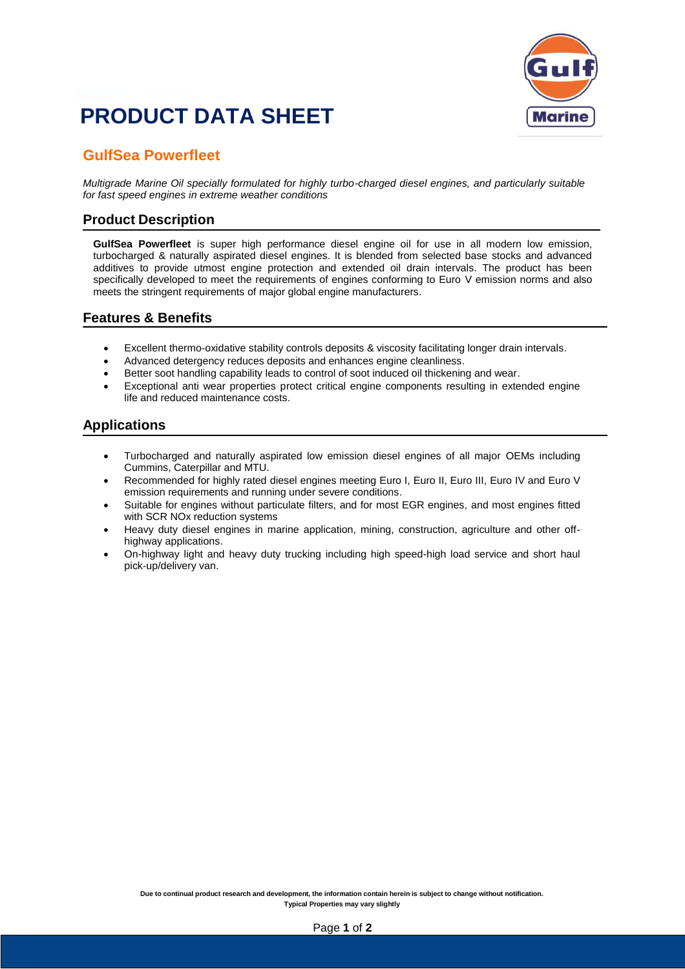# **PRODUCT DATA SHEET**



### **GulfSea Powerfleet**

*Multigrade Marine Oil specially formulated for highly turbo-charged diesel engines, and particularly suitable for fast speed engines in extreme weather conditions*

#### **Product Description**

**GulfSea Powerfleet** is super high performance diesel engine oil for use in all modern low emission, turbocharged & naturally aspirated diesel engines. It is blended from selected base stocks and advanced additives to provide utmost engine protection and extended oil drain intervals. The product has been specifically developed to meet the requirements of engines conforming to Euro V emission norms and also meets the stringent requirements of major global engine manufacturers.

#### **Features & Benefits**

- Excellent thermo-oxidative stability controls deposits & viscosity facilitating longer drain intervals.
- Advanced detergency reduces deposits and enhances engine cleanliness.
- Better soot handling capability leads to control of soot induced oil thickening and wear.
- Exceptional anti wear properties protect critical engine components resulting in extended engine life and reduced maintenance costs.

#### **Applications**

- Turbocharged and naturally aspirated low emission diesel engines of all major OEMs including Cummins, Caterpillar and MTU.
- Recommended for highly rated diesel engines meeting Euro I, Euro II, Euro III, Euro IV and Euro V emission requirements and running under severe conditions.
- Suitable for engines without particulate filters, and for most EGR engines, and most engines fitted with SCR NOx reduction systems
- Heavy duty diesel engines in marine application, mining, construction, agriculture and other offhighway applications.
- On-highway light and heavy duty trucking including high speed-high load service and short haul pick-up/delivery van.